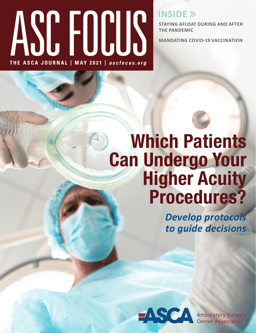# ASC FOCUS **THE ASCA JOURNAL | MAY 2021 |** *ascfocus.org*

**INSIDE >>** 

**STAYING AFLOAT DURING AND AFTER THE PANDEMIC**

**MANDATING COVID-19 VACCINATION**

## **Which Patients Can Undergo Your Higher Acuity Procedures?**

*Develop protocols to guide decisions*

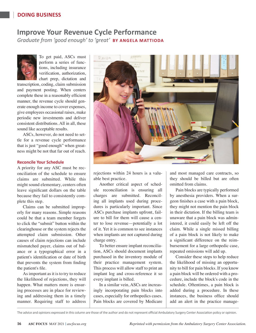#### **DOING BUSINESS**

### **Improve Your Revenue Cycle Performance**

*Graduate from 'good enough' to 'great'* **BY ANGELA MATTIODA**



To get paid, ASCs must perform a series of functions, including insurance verification, authorization, chart prep, dictation and

transcription, coding, claim submission and payment posting. When centers complete these in a reasonably efficient manner, the revenue cycle should generate enough income to cover expenses, give employees occasional raises, make periodic new investments and deliver consistent distributions. All in all, these sound like acceptable results.

ASCs, however, do not need to settle for a revenue cycle performance that is just "good enough" when greatness might be not that far out of reach.

#### **Reconcile Your Schedule**

A priority for any ASC must be reconciliation of the schedule to ensure claims are submitted. While this might sound elementary, centers often leave significant dollars on the table because they fail to consistently complete this step.

Claims can be submitted improperly for many reasons. Simple reasons could be that a team member forgets to click the "submit" button within the clearinghouse or the system rejects the attempted claim submission. Other causes of claim rejections can include mismatched payer, claims out of balance or a typographical error in a patient's identification or date of birth that prevents the system from finding the patient's file.

As important as it is to try to reduce the likelihood of rejections, they will happen. What matters more is ensuring processes are in place for reviewing and addressing them in a timely manner. Requiring staff to address



rejections within 24 hours is a valuable best practice.

Another critical aspect of schedule reconciliation is ensuring all charges are submitted. Reconciling all implants used during procedures is particularly important. Since ASCs purchase implants upfront, failure to bill for them will cause a center to lose revenue—potentially a lot of it. Yet it is common to see instances when implants are not captured during charge entry.

To better ensure implant reconciliation, ASCs should document implants purchased in the inventory module of their practice management system. This process will allow staff to print an implant log and cross-reference it so every implant is billed.

In a similar vein, ASCs are increasingly incorporating pain blocks into cases, especially for orthopedics cases. Pain blocks are covered by Medicare and most managed care contracts, so they should be billed but are often omitted from claims.

Pain blocks are typically performed by anesthesia providers. When a surgeon finishes a case with a pain block, they might not mention the pain block in their dictation. If the billing team is unaware that a pain block was administered, it could easily be left off the claim. While a single missed billing of a pain block is not likely to make a significant difference on the reimbursement for a large orthopedic case, repeated omissions will add up.

Consider these steps to help reduce the likelihood of missing an opportunity to bill for pain blocks. If you know a pain block will be ordered with a procedure, include the block's code in the schedule. Oftentimes, a pain block is added during a procedure. In these instances, the business office should add an alert in the practice manage-

The advice and opinions expressed in this column are those of the author and do not represent official Ambulatory Surgery Center Association policy or opinion.